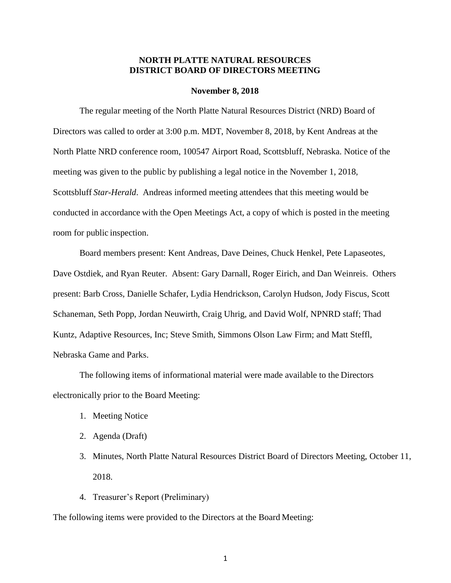### **NORTH PLATTE NATURAL RESOURCES DISTRICT BOARD OF DIRECTORS MEETING**

#### **November 8, 2018**

The regular meeting of the North Platte Natural Resources District (NRD) Board of Directors was called to order at 3:00 p.m. MDT, November 8, 2018, by Kent Andreas at the North Platte NRD conference room, 100547 Airport Road, Scottsbluff, Nebraska. Notice of the meeting was given to the public by publishing a legal notice in the November 1, 2018, Scottsbluff *Star-Herald*. Andreas informed meeting attendees that this meeting would be conducted in accordance with the Open Meetings Act, a copy of which is posted in the meeting room for public inspection.

Board members present: Kent Andreas, Dave Deines, Chuck Henkel, Pete Lapaseotes, Dave Ostdiek, and Ryan Reuter. Absent: Gary Darnall, Roger Eirich, and Dan Weinreis. Others present: Barb Cross, Danielle Schafer, Lydia Hendrickson, Carolyn Hudson, Jody Fiscus, Scott Schaneman, Seth Popp, Jordan Neuwirth, Craig Uhrig, and David Wolf, NPNRD staff; Thad Kuntz, Adaptive Resources, Inc; Steve Smith, Simmons Olson Law Firm; and Matt Steffl, Nebraska Game and Parks.

The following items of informational material were made available to the Directors electronically prior to the Board Meeting:

- 1. Meeting Notice
- 2. Agenda (Draft)
- 3. Minutes, North Platte Natural Resources District Board of Directors Meeting, October 11, 2018.
- 4. Treasurer's Report (Preliminary)

The following items were provided to the Directors at the Board Meeting: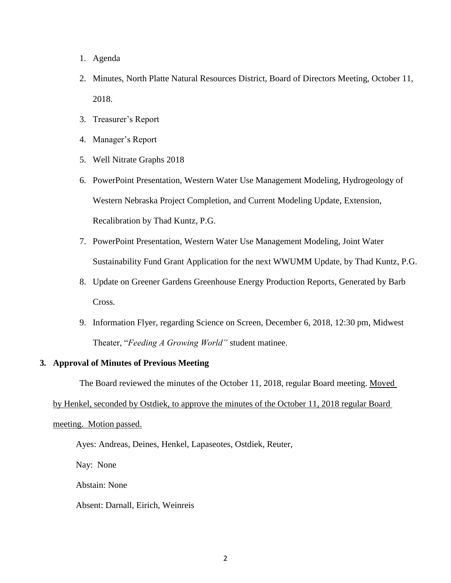- 1. Agenda
- 2. Minutes, North Platte Natural Resources District, Board of Directors Meeting, October 11, 2018.
- 3. Treasurer's Report
- 4. Manager's Report
- 5. Well Nitrate Graphs 2018
- 6. PowerPoint Presentation, Western Water Use Management Modeling, Hydrogeology of Western Nebraska Project Completion, and Current Modeling Update, Extension, Recalibration by Thad Kuntz, P.G.
- 7. PowerPoint Presentation, Western Water Use Management Modeling, Joint Water Sustainability Fund Grant Application for the next WWUMM Update, by Thad Kuntz, P.G.
- 8. Update on Greener Gardens Greenhouse Energy Production Reports, Generated by Barb Cross.
- 9. Information Flyer, regarding Science on Screen, December 6, 2018, 12:30 pm, Midwest Theater, "*Feeding A Growing World"* student matinee.

#### **3. Approval of Minutes of Previous Meeting**

The Board reviewed the minutes of the October 11, 2018, regular Board meeting. Moved

by Henkel, seconded by Ostdiek, to approve the minutes of the October 11, 2018 regular Board

## meeting. Motion passed.

### Ayes: Andreas, Deines, Henkel, Lapaseotes, Ostdiek, Reuter,

Nay: None

Abstain: None

Absent: Darnall, Eirich, Weinreis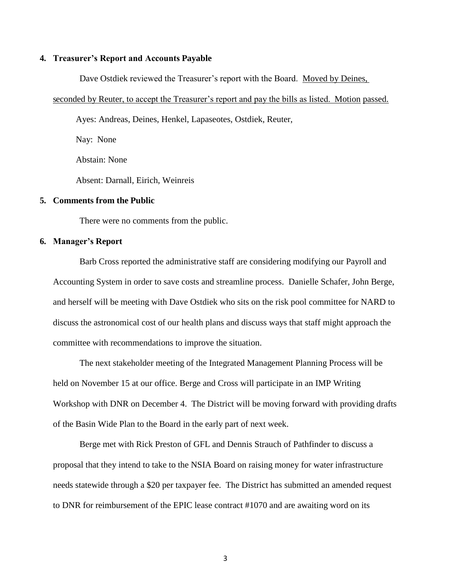### **4. Treasurer's Report and Accounts Payable**

Dave Ostdiek reviewed the Treasurer's report with the Board. Moved by Deines,

#### seconded by Reuter, to accept the Treasurer's report and pay the bills as listed. Motion passed.

Ayes: Andreas, Deines, Henkel, Lapaseotes, Ostdiek, Reuter,

Nay: None Abstain: None Absent: Darnall, Eirich, Weinreis

#### **5. Comments from the Public**

There were no comments from the public.

#### **6. Manager's Report**

Barb Cross reported the administrative staff are considering modifying our Payroll and Accounting System in order to save costs and streamline process. Danielle Schafer, John Berge, and herself will be meeting with Dave Ostdiek who sits on the risk pool committee for NARD to discuss the astronomical cost of our health plans and discuss ways that staff might approach the committee with recommendations to improve the situation.

The next stakeholder meeting of the Integrated Management Planning Process will be held on November 15 at our office. Berge and Cross will participate in an IMP Writing Workshop with DNR on December 4. The District will be moving forward with providing drafts of the Basin Wide Plan to the Board in the early part of next week.

Berge met with Rick Preston of GFL and Dennis Strauch of Pathfinder to discuss a proposal that they intend to take to the NSIA Board on raising money for water infrastructure needs statewide through a \$20 per taxpayer fee. The District has submitted an amended request to DNR for reimbursement of the EPIC lease contract #1070 and are awaiting word on its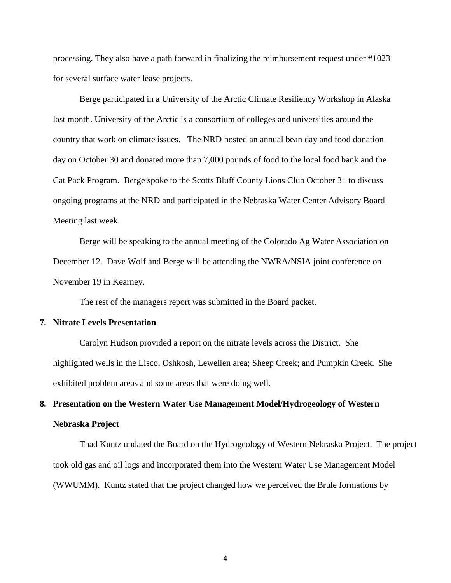processing. They also have a path forward in finalizing the reimbursement request under #1023 for several surface water lease projects.

Berge participated in a University of the Arctic Climate Resiliency Workshop in Alaska last month. University of the Arctic is a consortium of colleges and universities around the country that work on climate issues. The NRD hosted an annual bean day and food donation day on October 30 and donated more than 7,000 pounds of food to the local food bank and the Cat Pack Program. Berge spoke to the Scotts Bluff County Lions Club October 31 to discuss ongoing programs at the NRD and participated in the Nebraska Water Center Advisory Board Meeting last week.

Berge will be speaking to the annual meeting of the Colorado Ag Water Association on December 12. Dave Wolf and Berge will be attending the NWRA/NSIA joint conference on November 19 in Kearney.

The rest of the managers report was submitted in the Board packet.

#### **7. Nitrate Levels Presentation**

Carolyn Hudson provided a report on the nitrate levels across the District. She highlighted wells in the Lisco, Oshkosh, Lewellen area; Sheep Creek; and Pumpkin Creek. She exhibited problem areas and some areas that were doing well.

# **8. Presentation on the Western Water Use Management Model/Hydrogeology of Western Nebraska Project**

Thad Kuntz updated the Board on the Hydrogeology of Western Nebraska Project. The project took old gas and oil logs and incorporated them into the Western Water Use Management Model (WWUMM). Kuntz stated that the project changed how we perceived the Brule formations by

4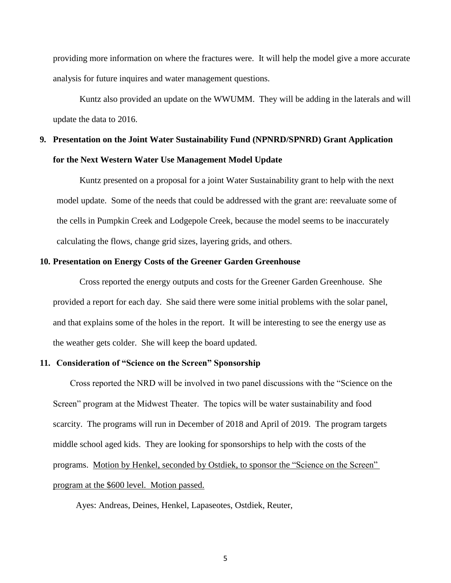providing more information on where the fractures were. It will help the model give a more accurate analysis for future inquires and water management questions.

Kuntz also provided an update on the WWUMM. They will be adding in the laterals and will update the data to 2016.

# **9. Presentation on the Joint Water Sustainability Fund (NPNRD/SPNRD) Grant Application for the Next Western Water Use Management Model Update**

Kuntz presented on a proposal for a joint Water Sustainability grant to help with the next model update. Some of the needs that could be addressed with the grant are: reevaluate some of the cells in Pumpkin Creek and Lodgepole Creek, because the model seems to be inaccurately calculating the flows, change grid sizes, layering grids, and others.

#### **10. Presentation on Energy Costs of the Greener Garden Greenhouse**

Cross reported the energy outputs and costs for the Greener Garden Greenhouse. She provided a report for each day. She said there were some initial problems with the solar panel, and that explains some of the holes in the report. It will be interesting to see the energy use as the weather gets colder. She will keep the board updated.

#### **11. Consideration of "Science on the Screen" Sponsorship**

Cross reported the NRD will be involved in two panel discussions with the "Science on the Screen" program at the Midwest Theater. The topics will be water sustainability and food scarcity. The programs will run in December of 2018 and April of 2019. The program targets middle school aged kids. They are looking for sponsorships to help with the costs of the programs. Motion by Henkel, seconded by Ostdiek, to sponsor the "Science on the Screen" program at the \$600 level. Motion passed.

Ayes: Andreas, Deines, Henkel, Lapaseotes, Ostdiek, Reuter,